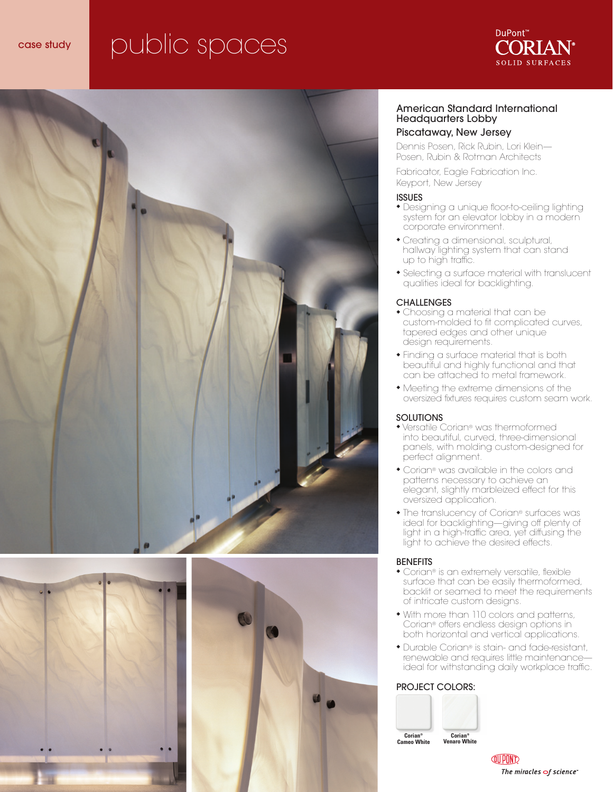# case study public spaces









#### American Standard International Headquarters Lobby

#### Piscataway, New Jersey

Dennis Posen, Rick Rubin, Lori Klein— Posen, Rubin & Rotman Architects

Fabricator, Eagle Fabrication Inc. Keyport, New Jersey

#### ISSUES

- ◆ Designing a unique floor-to-ceiling lighting system for an elevator lobby in a modern corporate environment.
- ◆ Creating a dimensional, sculptural, hallway lighting system that can stand up to high traffic.
- ◆ Selecting a surface material with translucent qualities ideal for backlighting.

#### **CHALLENGES**

- ◆ Choosing a material that can be custom-molded to fit complicated curves, tapered edges and other unique design requirements.
- ◆ Finding a surface material that is both beautiful and highly functional and that can be attached to metal framework.
- ◆ Meeting the extreme dimensions of the oversized fixtures requires custom seam work.

#### SOLUTIONS

- ◆ Versatile Corian® was thermoformed into beautiful, curved, three-dimensional panels, with molding custom-designed for perfect alignment.
- ◆ Corian® was available in the colors and patterns necessary to achieve an elegant, slightly marbleized effect for this oversized application.
- ◆ The translucency of Corian® surfaces was ideal for backlighting—giving off plenty of light in a high-traffic area, yet diffusing the light to achieve the desired effects.

#### BENEFITS

- ◆ Corian® is an extremely versatile, flexible surface that can be easily thermoformed, backlit or seamed to meet the requirements of intricate custom designs.
- ◆ With more than 110 colors and patterns, Corian® offers endless design options in both horizontal and vertical applications.
- ◆ Durable Corian® is stain- and fade-resistant, renewable and requires little maintenance ideal for withstanding daily workplace traffic.

#### PROJECT COLORS:



**QUIPOND** The miracles  $\sigma$ f science